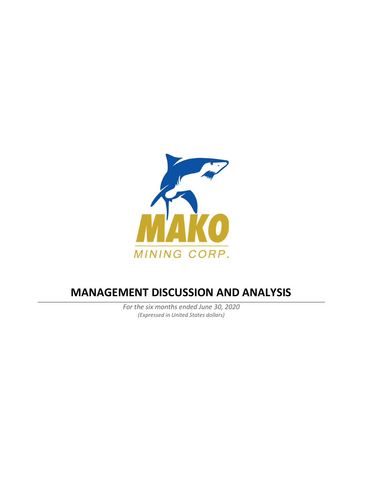

# MANAGEMENT DISCUSSION AND ANALYSIS

For the six months ended June 30, 2020 (Expressed in United States dollars)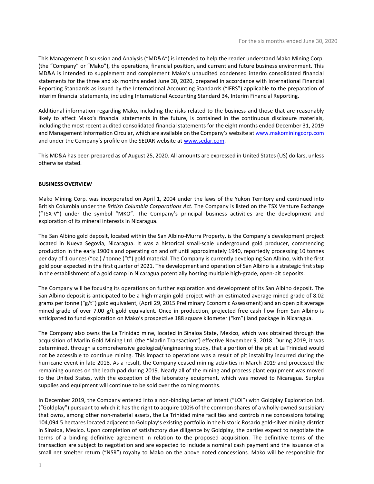This Management Discussion and Analysis ("MD&A") is intended to help the reader understand Mako Mining Corp. (the "Company" or "Mako"), the operations, financial position, and current and future business environment. This MD&A is intended to supplement and complement Mako's unaudited condensed interim consolidated financial statements for the three and six months ended June 30, 2020, prepared in accordance with International Financial Reporting Standards as issued by the International Accounting Standards ("IFRS") applicable to the preparation of interim financial statements, including International Accounting Standard 34, Interim Financial Reporting.

Additional information regarding Mako, including the risks related to the business and those that are reasonably likely to affect Mako's financial statements in the future, is contained in the continuous disclosure materials, including the most recent audited consolidated financial statements for the eight months ended December 31, 2019 and Management Information Circular, which are available on the Company's website at www.makominingcorp.com and under the Company's profile on the SEDAR website at www.sedar.com.

This MD&A has been prepared as of August 25, 2020. All amounts are expressed in United States (US) dollars, unless otherwise stated.

## BUSINESS OVERVIEW

Mako Mining Corp. was incorporated on April 1, 2004 under the laws of the Yukon Territory and continued into British Columbia under the British Columbia Corporations Act. The Company is listed on the TSX Venture Exchange ("TSX-V") under the symbol "MKO". The Company's principal business activities are the development and exploration of its mineral interests in Nicaragua.

The San Albino gold deposit, located within the San Albino-Murra Property, is the Company's development project located in Nueva Segovia, Nicaragua. It was a historical small-scale underground gold producer, commencing production in the early 1900's and operating on and off until approximately 1940, reportedly processing 10 tonnes per day of 1 ounces ("oz.) / tonne ("t") gold material. The Company is currently developing San Albino, with the first gold pour expected in the first quarter of 2021. The development and operation of San Albino is a strategic first step in the establishment of a gold camp in Nicaragua potentially hosting multiple high-grade, open-pit deposits.

The Company will be focusing its operations on further exploration and development of its San Albino deposit. The San Albino deposit is anticipated to be a high-margin gold project with an estimated average mined grade of 8.02 grams per tonne ("g/t") gold equivalent, (April 29, 2015 Preliminary Economic Assessment) and an open pit average mined grade of over 7.00 g/t gold equivalent. Once in production, projected free cash flow from San Albino is anticipated to fund exploration on Mako's prospective 188 square kilometer ("km") land package in Nicaragua.

The Company also owns the La Trinidad mine, located in Sinaloa State, Mexico, which was obtained through the acquisition of Marlin Gold Mining Ltd. (the "Marlin Transaction") effective November 9, 2018. During 2019, it was determined, through a comprehensive geological/engineering study, that a portion of the pit at La Trinidad would not be accessible to continue mining. This impact to operations was a result of pit instability incurred during the hurricane event in late 2018. As a result, the Company ceased mining activities in March 2019 and processed the remaining ounces on the leach pad during 2019. Nearly all of the mining and process plant equipment was moved to the United States, with the exception of the laboratory equipment, which was moved to Nicaragua. Surplus supplies and equipment will continue to be sold over the coming months.

In December 2019, the Company entered into a non-binding Letter of Intent ("LOI") with Goldplay Exploration Ltd. ("Goldplay") pursuant to which it has the right to acquire 100% of the common shares of a wholly-owned subsidiary that owns, among other non-material assets, the La Trinidad mine facilities and controls nine concessions totaling 104,094.5 hectares located adjacent to Goldplay's existing portfolio in the historic Rosario gold-silver mining district in Sinaloa, Mexico. Upon completion of satisfactory due diligence by Goldplay, the parties expect to negotiate the terms of a binding definitive agreement in relation to the proposed acquisition. The definitive terms of the transaction are subject to negotiation and are expected to include a nominal cash payment and the issuance of a small net smelter return ("NSR") royalty to Mako on the above noted concessions. Mako will be responsible for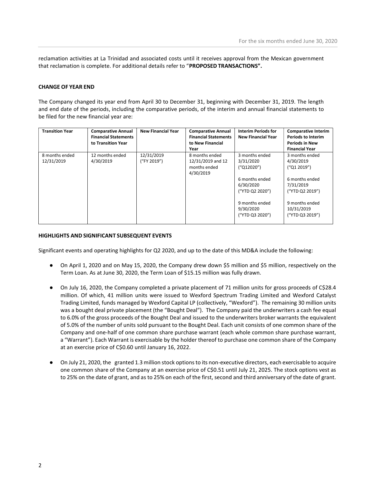reclamation activities at La Trinidad and associated costs until it receives approval from the Mexican government that reclamation is complete. For additional details refer to "PROPOSED TRANSACTIONS".

#### CHANGE OF YEAR END

The Company changed its year end from April 30 to December 31, beginning with December 31, 2019. The length and end date of the periods, including the comparative periods, of the interim and annual financial statements to be filed for the new financial year are:

| <b>Transition Year</b> | <b>Comparative Annual</b>   | <b>New Financial Year</b> | <b>Comparative Annual</b>   | <b>Interim Periods for</b>                     | <b>Comparative Interim</b>                      |
|------------------------|-----------------------------|---------------------------|-----------------------------|------------------------------------------------|-------------------------------------------------|
|                        | <b>Financial Statements</b> |                           | <b>Financial Statements</b> | <b>New Financial Year</b>                      | <b>Periods to Interim</b>                       |
|                        | to Transition Year          |                           | to New Financial            |                                                | <b>Periods in New</b>                           |
|                        |                             |                           | Year                        |                                                | <b>Financial Year</b>                           |
| 8 months ended         | 12 months ended             | 12/31/2019                | 8 months ended              | 3 months ended                                 | 3 months ended                                  |
| 12/31/2019             | 4/30/2019                   | ("FY 2019")               | 12/31/2019 and 12           | 3/31/2020                                      | 4/30/2019                                       |
|                        |                             |                           | months ended                | ('Q12020")                                     | (''Q1 2019'')                                   |
|                        |                             |                           | 4/30/2019                   |                                                |                                                 |
|                        |                             |                           |                             | 6 months ended                                 | 6 months ended                                  |
|                        |                             |                           |                             | 6/30/2020                                      | 7/31/2019                                       |
|                        |                             |                           |                             | ("YTD Q2 2020")                                | ("YTD Q2 2019")                                 |
|                        |                             |                           |                             | 9 months ended<br>9/30/2020<br>("YTD Q3 2020") | 9 months ended<br>10/31/2019<br>("YTD Q3 2019") |

#### HIGHLIGHTS AND SIGNIFICANT SUBSEQUENT EVENTS

Significant events and operating highlights for Q2 2020, and up to the date of this MD&A include the following:

- On April 1, 2020 and on May 15, 2020, the Company drew down \$5 million and \$5 million, respectively on the Term Loan. As at June 30, 2020, the Term Loan of \$15.15 million was fully drawn.
- On July 16, 2020, the Company completed a private placement of 71 million units for gross proceeds of C\$28.4 million. Of which, 41 million units were issued to Wexford Spectrum Trading Limited and Wexford Catalyst Trading Limited, funds managed by Wexford Capital LP (collectively, "Wexford"). The remaining 30 million units was a bought deal private placement (the "Bought Deal"). The Company paid the underwriters a cash fee equal to 6.0% of the gross proceeds of the Bought Deal and issued to the underwriters broker warrants the equivalent of 5.0% of the number of units sold pursuant to the Bought Deal. Each unit consists of one common share of the Company and one-half of one common share purchase warrant (each whole common share purchase warrant, a "Warrant"). Each Warrant is exercisable by the holder thereof to purchase one common share of the Company at an exercise price of C\$0.60 until January 16, 2022.
- On July 21, 2020, the granted 1.3 million stock options to its non-executive directors, each exercisable to acquire one common share of the Company at an exercise price of C\$0.51 until July 21, 2025. The stock options vest as to 25% on the date of grant, and as to 25% on each of the first, second and third anniversary of the date of grant.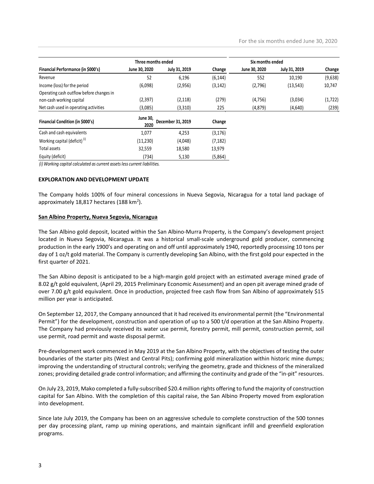|                                                                                                |                    |                            |          |                  | For the six months ended June 30, 2020 |          |
|------------------------------------------------------------------------------------------------|--------------------|----------------------------|----------|------------------|----------------------------------------|----------|
|                                                                                                |                    |                            |          |                  |                                        |          |
|                                                                                                | Three months ended |                            |          | Six months ended |                                        |          |
| Financial Performance (in \$000's)                                                             | June 30, 2020      | July 31, 2019              | Change   | June 30, 2020    | July 31, 2019                          | Change   |
| Revenue                                                                                        | 52                 | 6,196                      | (6, 144) | 552              | 10,190                                 | (9,638)  |
|                                                                                                |                    | (2,956)                    | (3, 142) | (2,796)          | (13, 543)                              | 10,747   |
| Income (loss) for the period                                                                   | (6,098)            |                            |          |                  |                                        |          |
| Operating cash outflow before changes in                                                       |                    |                            |          |                  |                                        |          |
| non-cash working capital                                                                       | (2, 397)           | (2, 118)                   | (279)    | (4, 756)         | (3,034)                                | (1, 722) |
| Net cash used in operating activities                                                          | (3,085)            | (3, 310)                   | 225      | (4, 879)         | (4,640)                                | (239)    |
| Financial Condition (in \$000's)                                                               |                    |                            | Change   |                  |                                        |          |
|                                                                                                | 2020               | June 30, December 31, 2019 |          |                  |                                        |          |
| Cash and cash equivalents                                                                      | 1,077              | 4,253                      | (3, 176) |                  |                                        |          |
| Working capital (deficit) <sup>(i)</sup>                                                       | (11, 230)          | (4,048)                    | (7, 182) |                  |                                        |          |
| Total assets                                                                                   | 32,559             | 18,580                     | 13,979   |                  |                                        |          |
| Equity (deficit)<br>(i) Working capital calculated as current assets less current liabilities. | (734)              | 5,130                      | (5,864)  |                  |                                        |          |

#### EXPLORATION AND DEVELOPMENT UPDATE

The Company holds 100% of four mineral concessions in Nueva Segovia, Nicaragua for a total land package of approximately 18,817 hectares (188 km<sup>2</sup>).

#### San Albino Property, Nueva Segovia, Nicaragua

The San Albino gold deposit, located within the San Albino-Murra Property, is the Company's development project located in Nueva Segovia, Nicaragua. It was a historical small-scale underground gold producer, commencing production in the early 1900's and operating on and off until approximately 1940, reportedly processing 10 tons per day of 1 oz/t gold material. The Company is currently developing San Albino, with the first gold pour expected in the first quarter of 2021.

The San Albino deposit is anticipated to be a high-margin gold project with an estimated average mined grade of 8.02 g/t gold equivalent, (April 29, 2015 Preliminary Economic Assessment) and an open pit average mined grade of over 7.00 g/t gold equivalent. Once in production, projected free cash flow from San Albino of approximately \$15 million per year is anticipated.

On September 12, 2017, the Company announced that it had received its environmental permit (the "Environmental Permit") for the development, construction and operation of up to a 500 t/d operation at the San Albino Property. The Company had previously received its water use permit, forestry permit, mill permit, construction permit, soil use permit, road permit and waste disposal permit.

Pre-development work commenced in May 2019 at the San Albino Property, with the objectives of testing the outer boundaries of the starter pits (West and Central Pits); confirming gold mineralization within historic mine dumps; improving the understanding of structural controls; verifying the geometry, grade and thickness of the mineralized zones; providing detailed grade control information; and affirming the continuity and grade of the "in-pit" resources.

On July 23, 2019, Mako completed a fully-subscribed \$20.4 million rights offering to fund the majority of construction capital for San Albino. With the completion of this capital raise, the San Albino Property moved from exploration into development.

Since late July 2019, the Company has been on an aggressive schedule to complete construction of the 500 tonnes per day processing plant, ramp up mining operations, and maintain significant infill and greenfield exploration programs.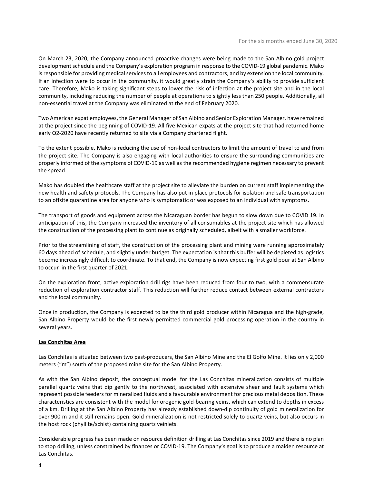On March 23, 2020, the Company announced proactive changes were being made to the San Albino gold project development schedule and the Company's exploration program in response to the COVID-19 global pandemic. Mako is responsible for providing medical services to all employees and contractors, and by extension the local community. If an infection were to occur in the community, it would greatly strain the Company's ability to provide sufficient care. Therefore, Mako is taking significant steps to lower the risk of infection at the project site and in the local community, including reducing the number of people at operations to slightly less than 250 people. Additionally, all non-essential travel at the Company was eliminated at the end of February 2020.

Two American expat employees, the General Manager of San Albino and Senior Exploration Manager, have remained at the project since the beginning of COVID-19. All five Mexican expats at the project site that had returned home early Q2-2020 have recently returned to site via a Company chartered flight.

To the extent possible, Mako is reducing the use of non-local contractors to limit the amount of travel to and from the project site. The Company is also engaging with local authorities to ensure the surrounding communities are properly informed of the symptoms of COVID-19 as well as the recommended hygiene regimen necessary to prevent the spread.

Mako has doubled the healthcare staff at the project site to alleviate the burden on current staff implementing the new health and safety protocols. The Company has also put in place protocols for isolation and safe transportation to an offsite quarantine area for anyone who is symptomatic or was exposed to an individual with symptoms.

The transport of goods and equipment across the Nicaraguan border has begun to slow down due to COVID 19. In anticipation of this, the Company increased the inventory of all consumables at the project site which has allowed the construction of the processing plant to continue as originally scheduled, albeit with a smaller workforce.

Prior to the streamlining of staff, the construction of the processing plant and mining were running approximately 60 days ahead of schedule, and slightly under budget. The expectation is that this buffer will be depleted as logistics become increasingly difficult to coordinate. To that end, the Company is now expecting first gold pour at San Albino to occur in the first quarter of 2021.

On the exploration front, active exploration drill rigs have been reduced from four to two, with a commensurate reduction of exploration contractor staff. This reduction will further reduce contact between external contractors and the local community.

Once in production, the Company is expected to be the third gold producer within Nicaragua and the high-grade, San Albino Property would be the first newly permitted commercial gold processing operation in the country in several years.

# Las Conchitas Area

Las Conchitas is situated between two past-producers, the San Albino Mine and the El Golfo Mine. It lies only 2,000 meters ("m") south of the proposed mine site for the San Albino Property.

As with the San Albino deposit, the conceptual model for the Las Conchitas mineralization consists of multiple parallel quartz veins that dip gently to the northwest, associated with extensive shear and fault systems which represent possible feeders for mineralized fluids and a favourable environment for precious metal deposition. These characteristics are consistent with the model for orogenic gold-bearing veins, which can extend to depths in excess of a km. Drilling at the San Albino Property has already established down-dip continuity of gold mineralization for over 900 m and it still remains open. Gold mineralization is not restricted solely to quartz veins, but also occurs in the host rock (phyllite/schist) containing quartz veinlets.

Considerable progress has been made on resource definition drilling at Las Conchitas since 2019 and there is no plan to stop drilling, unless constrained by finances or COVID-19. The Company's goal is to produce a maiden resource at Las Conchitas.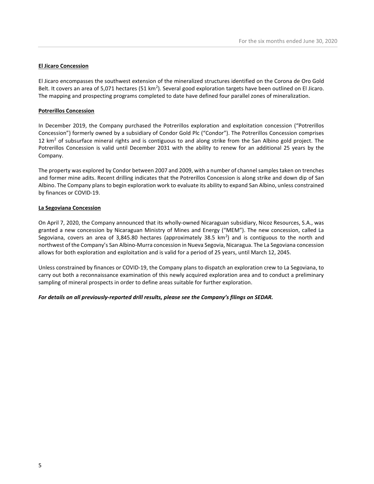# El Jicaro Concession

El Jicaro encompasses the southwest extension of the mineralized structures identified on the Corona de Oro Gold Belt. It covers an area of 5,071 hectares (51 km<sup>2</sup>). Several good exploration targets have been outlined on El Jicaro. The mapping and prospecting programs completed to date have defined four parallel zones of mineralization.

## Potrerillos Concession

In December 2019, the Company purchased the Potrerillos exploration and exploitation concession ("Potrerillos Concession") formerly owned by a subsidiary of Condor Gold Plc ("Condor"). The Potrerillos Concession comprises 12 km<sup>2</sup> of subsurface mineral rights and is contiguous to and along strike from the San Albino gold project. The Potrerillos Concession is valid until December 2031 with the ability to renew for an additional 25 years by the Company.

The property was explored by Condor between 2007 and 2009, with a number of channel samples taken on trenches and former mine adits. Recent drilling indicates that the Potrerillos Concession is along strike and down dip of San Albino. The Company plans to begin exploration work to evaluate its ability to expand San Albino, unless constrained by finances or COVID-19.

# La Segoviana Concession

On April 7, 2020, the Company announced that its wholly-owned Nicaraguan subsidiary, Nicoz Resources, S.A., was granted a new concession by Nicaraguan Ministry of Mines and Energy ("MEM"). The new concession, called La Segoviana, covers an area of 3,845.80 hectares (approximately 38.5  $km^2$ ) and is contiguous to the north and northwest of the Company's San Albino-Murra concession in Nueva Segovia, Nicaragua. The La Segoviana concession allows for both exploration and exploitation and is valid for a period of 25 years, until March 12, 2045.

Unless constrained by finances or COVID-19, the Company plans to dispatch an exploration crew to La Segoviana, to carry out both a reconnaissance examination of this newly acquired exploration area and to conduct a preliminary sampling of mineral prospects in order to define areas suitable for further exploration.

## For details on all previously-reported drill results, please see the Company's filings on SEDAR.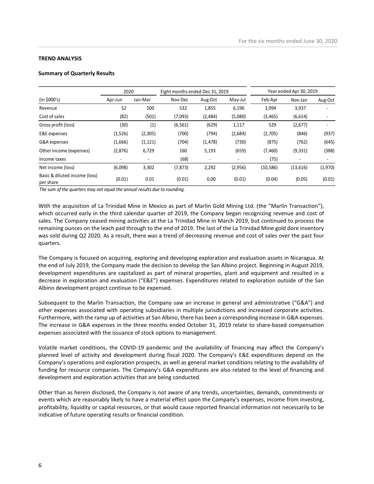## TREND ANALYSIS

# Summary of Quarterly Results

|                                            |          |                |                                 |          |         | For the six months ended June 30, 2020 |                         |         |
|--------------------------------------------|----------|----------------|---------------------------------|----------|---------|----------------------------------------|-------------------------|---------|
|                                            |          |                |                                 |          |         |                                        |                         |         |
|                                            |          |                |                                 |          |         |                                        |                         |         |
|                                            |          |                |                                 |          |         |                                        |                         |         |
|                                            |          |                |                                 |          |         |                                        |                         |         |
|                                            |          |                |                                 |          |         |                                        |                         |         |
|                                            |          |                |                                 |          |         |                                        |                         |         |
|                                            |          |                |                                 |          |         |                                        |                         |         |
|                                            |          |                |                                 |          |         |                                        |                         |         |
| <b>TREND ANALYSIS</b>                      |          |                |                                 |          |         |                                        |                         |         |
| <b>Summary of Quarterly Results</b>        |          |                |                                 |          |         |                                        |                         |         |
|                                            |          |                |                                 |          |         |                                        |                         |         |
|                                            | 2020     |                | Eight months ended Dec 31, 2019 |          |         |                                        | Year ended Apr 30, 2019 |         |
| (in \$000's)                               | Apr-Jun  | Jan-Mar        | Nov-Dec                         | Aug-Oct  | May-Jul | Feb-Apr                                | Nov-Jan                 | Aug-Oct |
| Revenue                                    | 52       | 500            | 532                             | 1,855    | 6,196   | 3,994                                  | 3,937                   |         |
|                                            | (82)     | (501)          | (7,093)                         | (2,484)  | (5,080) | (3, 465)                               | (6, 614)                | $\sim$  |
|                                            |          |                |                                 | (629)    | 1,117   | 529                                    | (2,677)                 | $\sim$  |
| Cost of sales                              |          |                |                                 |          |         |                                        |                         | (937)   |
| Gross profit (loss)                        | (30)     | (1)            | (6, 561)                        |          |         |                                        |                         |         |
| E&E expenses                               | (1, 526) | (2, 305)       | (700)                           | (794)    | (2,684) | (2,705)                                | (846)                   |         |
| G&A expenses                               | (1,666)  | (1, 121)       | (704)                           | (1, 478) | (730)   | (875)                                  | (762)                   | (645)   |
| Other income (expenses)                    | (2,876)  | 6,729          | 160                             | 5,193    | (659)   | (7, 460)                               | (9, 331)                | (388)   |
| Income taxes                               | $\sim$   | $\blacksquare$ | (68)                            | $\sim$   | $\sim$  | (75)                                   | $\sim$                  | $\sim$  |
| Net income (loss)                          | (6,098)  | 3,302          | (7, 873)                        | 2,292    | (2,956) | (10, 586)                              | (13, 616)               | (1,970) |
| Basic & diluted income (loss)<br>per share | (0.01)   | 0.01           | (0.01)                          | 0.00     | (0.01)  | (0.04)                                 | (0.05)                  | (0.01)  |

With the acquisition of La Trinidad Mine in Mexico as part of Marlin Gold Mining Ltd. (the "Marlin Transaction"), which occurred early in the third calendar quarter of 2019, the Company began recognizing revenue and cost of sales. The Company ceased mining activities at the La Trinidad Mine in March 2019, but continued to process the remaining ounces on the leach pad through to the end of 2019. The last of the La Trinidad Mine gold dore inventory was sold during Q2 2020. As a result, there was a trend of decreasing revenue and cost of sales over the past four quarters.

The Company is focused on acquiring, exploring and developing exploration and evaluation assets in Nicaragua. At the end of July 2019, the Company made the decision to develop the San Albino project. Beginning in August 2019, development expenditures are capitalized as part of mineral properties, plant and equipment and resulted in a decrease in exploration and evaluation ("E&E") expenses. Expenditures related to exploration outside of the San Albino development project continue to be expensed.

Subsequent to the Marlin Transaction, the Company saw an increase in general and administrative ("G&A") and other expenses associated with operating subsidiaries in multiple jurisdictions and increased corporate activities. Furthermore, with the ramp up of activities at San Albino, there has been a corresponding increase in G&A expenses. The increase in G&A expenses in the three months ended October 31, 2019 relate to share-based compensation expenses associated with the issuance of stock options to management.

Volatile market conditions, the COVID-19 pandemic and the availability of financing may affect the Company's planned level of activity and development during fiscal 2020. The Company's E&E expenditures depend on the Company's operations and exploration prospects, as well as general market conditions relating to the availability of funding for resource companies. The Company's G&A expenditures are also related to the level of financing and development and exploration activities that are being conducted.

Other than as herein disclosed, the Company is not aware of any trends, uncertainties, demands, commitments or events which are reasonably likely to have a material effect upon the Company's expenses, income from investing, profitability, liquidity or capital resources, or that would cause reported financial information not necessarily to be indicative of future operating results or financial condition.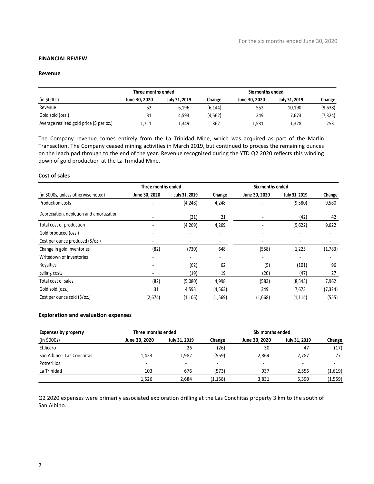# FINANCIAL REVIEW

# Revenue

|                         |                    |               |          |                  | For the six months ended June 30, 2020 |          |
|-------------------------|--------------------|---------------|----------|------------------|----------------------------------------|----------|
| <b>FINANCIAL REVIEW</b> |                    |               |          |                  |                                        |          |
|                         |                    |               |          |                  |                                        |          |
| Revenue                 |                    |               |          |                  |                                        |          |
|                         | Three months ended |               |          | Six months ended |                                        |          |
| (in \$000s)             | June 30, 2020      | July 31, 2019 | Change   | June 30, 2020    | July 31, 2019                          | Change   |
| Revenue                 | 52                 | 6,196         | (6, 144) | 552              | 10,190                                 | (9,638)  |
| Gold sold (ozs.)        | 31                 | 4,593         | (4, 562) | 349              | 7,673                                  | (7, 324) |

## Cost of sales

| <b>FINANCIAL REVIEW</b>                                                                                                                                                                                                                                                                                                                                                                          |                          |                          |                          |                  |                          |                          |
|--------------------------------------------------------------------------------------------------------------------------------------------------------------------------------------------------------------------------------------------------------------------------------------------------------------------------------------------------------------------------------------------------|--------------------------|--------------------------|--------------------------|------------------|--------------------------|--------------------------|
| Revenue                                                                                                                                                                                                                                                                                                                                                                                          |                          |                          |                          |                  |                          |                          |
|                                                                                                                                                                                                                                                                                                                                                                                                  |                          |                          |                          |                  |                          |                          |
|                                                                                                                                                                                                                                                                                                                                                                                                  | Three months ended       |                          |                          | Six months ended |                          |                          |
| (in \$000s)                                                                                                                                                                                                                                                                                                                                                                                      | June 30, 2020            | July 31, 2019            | Change                   | June 30, 2020    | July 31, 2019            | Change                   |
| Revenue                                                                                                                                                                                                                                                                                                                                                                                          | 52                       | 6,196                    | (6, 144)                 | 552              | 10,190                   | (9,638)                  |
| Gold sold (ozs.)                                                                                                                                                                                                                                                                                                                                                                                 | 31                       | 4,593                    | (4, 562)                 | 349              | 7,673                    | (7, 324)                 |
| Average realized gold price (\$ per oz.)                                                                                                                                                                                                                                                                                                                                                         | 1,711                    | 1,349                    | 362                      | 1,581            | 1,328                    | 253                      |
| The Company revenue comes entirely from the La Trinidad Mine, which was acquired as part of the Marlin<br>Transaction. The Company ceased mining activities in March 2019, but continued to process the remaining ounces<br>on the leach pad through to the end of the year. Revenue recognized during the YTD Q2 2020 reflects this winding<br>down of gold production at the La Trinidad Mine. |                          |                          |                          |                  |                          |                          |
| <b>Cost of sales</b>                                                                                                                                                                                                                                                                                                                                                                             | Three months ended       |                          |                          | Six months ended |                          |                          |
| (in \$000s, unless otherwise noted)                                                                                                                                                                                                                                                                                                                                                              | June 30, 2020            | July 31, 2019            | Change                   | June 30, 2020    | July 31, 2019            | Change                   |
| Production costs                                                                                                                                                                                                                                                                                                                                                                                 |                          | (4, 248)                 | 4,248                    |                  | (9,580)                  | 9,580                    |
| Depreciation, depletion and amortization                                                                                                                                                                                                                                                                                                                                                         |                          | (21)                     | 21                       |                  | (42)                     | 42                       |
| Total cost of production                                                                                                                                                                                                                                                                                                                                                                         | $\overline{a}$           | (4, 269)                 | 4,269                    |                  | (9,622)                  | 9,622                    |
| Gold produced (ozs.)                                                                                                                                                                                                                                                                                                                                                                             |                          |                          | ٠                        |                  | $\overline{\phantom{a}}$ | $\blacksquare$           |
| Cost per ounce produced (\$/oz.)                                                                                                                                                                                                                                                                                                                                                                 |                          | $\overline{\phantom{a}}$ | $\overline{\phantom{a}}$ |                  | $\overline{\phantom{a}}$ | $\overline{\phantom{a}}$ |
| Change in gold inventories                                                                                                                                                                                                                                                                                                                                                                       | (82)                     | (730)                    | 648                      | (558)            | 1,225                    | (1,783)                  |
| Writedown of inventories                                                                                                                                                                                                                                                                                                                                                                         |                          |                          |                          |                  |                          |                          |
| Royalties                                                                                                                                                                                                                                                                                                                                                                                        |                          | (62)                     | 62                       | (5)              | (101)                    | 96                       |
| Selling costs                                                                                                                                                                                                                                                                                                                                                                                    | $\overline{\phantom{0}}$ | (19)                     | 19                       | (20)             | (47)                     | 27                       |
| Total cost of sales                                                                                                                                                                                                                                                                                                                                                                              | (82)                     | (5,080)                  | 4,998                    | (583)            | (8, 545)                 | 7,962                    |
| Gold sold (ozs.)                                                                                                                                                                                                                                                                                                                                                                                 | 31                       | 4,593                    | (4, 563)                 | 349              | 7,673                    | (7, 324)                 |
| Cost per ounce sold (\$/oz.)                                                                                                                                                                                                                                                                                                                                                                     | (2,674)                  | (1, 106)                 | (1, 569)                 | (1,668)          | (1, 114)                 | (555)                    |
|                                                                                                                                                                                                                                                                                                                                                                                                  |                          |                          |                          |                  |                          |                          |
| <b>Exploration and evaluation expenses</b>                                                                                                                                                                                                                                                                                                                                                       |                          |                          |                          |                  |                          |                          |
| <b>Expenses by property</b>                                                                                                                                                                                                                                                                                                                                                                      | Three months ended       |                          |                          | Six months ended |                          |                          |
| (in \$000s)                                                                                                                                                                                                                                                                                                                                                                                      | June 30, 2020            | July 31, 2019            | Change                   | June 30, 2020    | July 31, 2019            | Change                   |
| El Jicaro                                                                                                                                                                                                                                                                                                                                                                                        |                          | 26                       | (26)                     | 30               | 47                       | (17)                     |
| San Albino - Las Conchitas                                                                                                                                                                                                                                                                                                                                                                       | 1,423                    | 1,982                    | (559)                    | 2,864            | 2,787                    | 77                       |
| Potrerillos                                                                                                                                                                                                                                                                                                                                                                                      |                          |                          |                          |                  | $\overline{\phantom{a}}$ |                          |
| La Trinidad                                                                                                                                                                                                                                                                                                                                                                                      | 103                      | 676                      | (573)                    | 937              | 2,556                    | (1,619)                  |

#### Exploration and evaluation expenses

| Expenses by property       | Three months ended       |                          |         | Six months ended |               |                          |
|----------------------------|--------------------------|--------------------------|---------|------------------|---------------|--------------------------|
| (in \$000s)                | June 30, 2020            | July 31, 2019            | Change  | June 30, 2020    | July 31, 2019 | Change                   |
| El Jicaro                  | $\overline{\phantom{a}}$ | 26                       | (26)    | 30               | 47            | (17)                     |
| San Albino - Las Conchitas | 1.423                    | 1,982                    | (559)   | 2,864            | 2,787         | 77                       |
| Potrerillos                | $\overline{\phantom{a}}$ | $\overline{\phantom{0}}$ | -       | -                |               | $\overline{\phantom{0}}$ |
| La Trinidad                | 103                      | 676                      | (573)   | 937              | 2.556         | (1,619)                  |
|                            | 1,526                    | 2.684                    | (1,158) | 3,831            | 5,390         | (1,559)                  |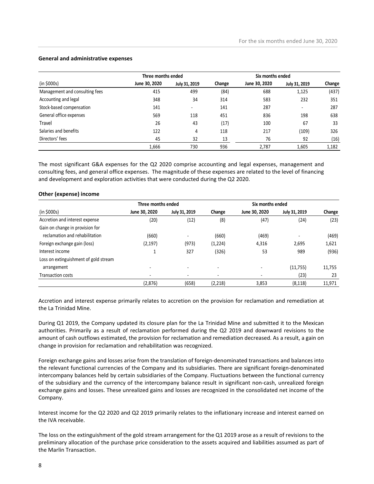## General and administrative expenses

|                                                                                                                                                                                                                                                                                                                       |                                     |                |          |                                   | For the six months ended June 30, 2020 |                 |
|-----------------------------------------------------------------------------------------------------------------------------------------------------------------------------------------------------------------------------------------------------------------------------------------------------------------------|-------------------------------------|----------------|----------|-----------------------------------|----------------------------------------|-----------------|
|                                                                                                                                                                                                                                                                                                                       |                                     |                |          |                                   |                                        |                 |
| <b>General and administrative expenses</b>                                                                                                                                                                                                                                                                            |                                     |                |          |                                   |                                        |                 |
|                                                                                                                                                                                                                                                                                                                       |                                     |                |          |                                   |                                        |                 |
| (in \$000s)                                                                                                                                                                                                                                                                                                           | Three months ended<br>June 30, 2020 | July 31, 2019  | Change   | Six months ended<br>June 30, 2020 | July 31, 2019                          |                 |
| Management and consulting fees                                                                                                                                                                                                                                                                                        | 415                                 | 499            | (84)     | 688                               | 1,125                                  | Change<br>(437) |
| Accounting and legal                                                                                                                                                                                                                                                                                                  | 348                                 | 34             | 314      | 583                               | 232                                    | 351             |
| Stock-based compensation                                                                                                                                                                                                                                                                                              | 141                                 | $\blacksquare$ | 141      | 287                               | $\blacksquare$                         | 287             |
| General office expenses                                                                                                                                                                                                                                                                                               | 569                                 | 118            | 451      | 836                               | 198                                    | 638             |
| Travel                                                                                                                                                                                                                                                                                                                | 26                                  | 43             | (17)     | 100                               | 67                                     | 33              |
| Salaries and benefits                                                                                                                                                                                                                                                                                                 | 122                                 |                | 118      | 217                               |                                        | 326             |
| Directors' fees                                                                                                                                                                                                                                                                                                       | 45                                  | 4<br>32        | 13       | 76                                | (109)<br>92                            |                 |
|                                                                                                                                                                                                                                                                                                                       |                                     | 730            | 936      |                                   |                                        | (16)            |
|                                                                                                                                                                                                                                                                                                                       | 1,666                               |                |          | 2,787                             | 1,605                                  | 1,182           |
| The most significant G&A expenses for the Q2 2020 comprise accounting and legal expenses, management and<br>consulting fees, and general office expenses. The magnitude of these expenses are related to the level of financing<br>and development and exploration activities that were conducted during the Q2 2020. |                                     |                |          |                                   |                                        |                 |
| Other (expense) income                                                                                                                                                                                                                                                                                                |                                     |                |          |                                   |                                        |                 |
|                                                                                                                                                                                                                                                                                                                       | Three months ended                  |                |          | Six months ended                  |                                        |                 |
| (in \$000s)                                                                                                                                                                                                                                                                                                           | June 30, 2020                       | July 31, 2019  | Change   | June 30, 2020                     | July 31, 2019                          | Change          |
| Accretion and interest expense                                                                                                                                                                                                                                                                                        | (20)                                | (12)           | (8)      | (47)                              | (24)                                   | (23)            |
| Gain on change in provision for                                                                                                                                                                                                                                                                                       |                                     |                |          |                                   |                                        |                 |
|                                                                                                                                                                                                                                                                                                                       | (660)                               | $\blacksquare$ | (660)    | (469)                             | $\blacksquare$                         | (469)           |
| reclamation and rehabilitation                                                                                                                                                                                                                                                                                        |                                     | (973)          | (1, 224) | 4,316                             | 2,695                                  | 1,621           |
| Foreign exchange gain (loss)                                                                                                                                                                                                                                                                                          | (2, 197)                            |                |          |                                   |                                        |                 |
| Interest income                                                                                                                                                                                                                                                                                                       | $\mathbf{1}$                        | 327            | (326)    | 53                                | 989                                    | (936)           |

#### Other (expense) income

|                                       | Three months ended       |                          |                          | Six months ended |                          |        |
|---------------------------------------|--------------------------|--------------------------|--------------------------|------------------|--------------------------|--------|
| (in \$000s)                           | June 30, 2020            | July 31, 2019            | Change                   | June 30, 2020    | July 31, 2019            | Change |
| Accretion and interest expense        | (20)                     | (12)                     | (8)                      | (47)             | (24)                     | (23)   |
| Gain on change in provision for       |                          |                          |                          |                  |                          |        |
| reclamation and rehabilitation        | (660)                    | $\overline{\phantom{a}}$ | (660)                    | (469)            | $\overline{\phantom{a}}$ | (469)  |
| Foreign exchange gain (loss)          | (2, 197)                 | (973)                    | (1,224)                  | 4,316            | 2,695                    | 1,621  |
| Interest income                       |                          | 327                      | (326)                    | 53               | 989                      | (936)  |
| Loss on extinguishment of gold stream |                          |                          |                          |                  |                          |        |
| arrangement                           | -                        | $\overline{\phantom{0}}$ | $\overline{\phantom{0}}$ |                  | (11, 755)                | 11,755 |
| <b>Transaction costs</b>              | $\overline{\phantom{a}}$ | $\overline{\phantom{a}}$ | $\overline{\phantom{a}}$ |                  | (23)                     | 23     |
|                                       | (2,876)                  | (658)                    | (2, 218)                 | 3,853            | (8, 118)                 | 11,971 |

Accretion and interest expense primarily relates to accretion on the provision for reclamation and remediation at the La Trinidad Mine.

During Q1 2019, the Company updated its closure plan for the La Trinidad Mine and submitted it to the Mexican authorities. Primarily as a result of reclamation performed during the Q2 2019 and downward revisions to the amount of cash outflows estimated, the provision for reclamation and remediation decreased. As a result, a gain on change in provision for reclamation and rehabilitation was recognized.

Foreign exchange gains and losses arise from the translation of foreign-denominated transactions and balances into the relevant functional currencies of the Company and its subsidiaries. There are significant foreign-denominated intercompany balances held by certain subsidiaries of the Company. Fluctuations between the functional currency of the subsidiary and the currency of the intercompany balance result in significant non-cash, unrealized foreign exchange gains and losses. These unrealized gains and losses are recognized in the consolidated net income of the Company.

Interest income for the Q2 2020 and Q2 2019 primarily relates to the inflationary increase and interest earned on the IVA receivable.

The loss on the extinguishment of the gold stream arrangement for the Q1 2019 arose as a result of revisions to the preliminary allocation of the purchase price consideration to the assets acquired and liabilities assumed as part of the Marlin Transaction.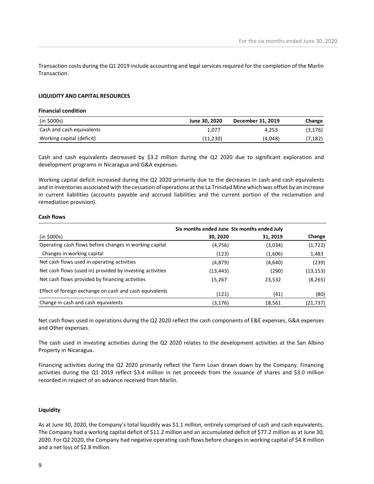## LIQUIDITY AND CAPITAL RESOURCES

## Financial condition

|                                                                                                                                      |               | For the six months ended June 30, 2020 |          |
|--------------------------------------------------------------------------------------------------------------------------------------|---------------|----------------------------------------|----------|
|                                                                                                                                      |               |                                        |          |
|                                                                                                                                      |               |                                        |          |
| Transaction costs during the Q1 2019 include accounting and legal services required for the completion of the Marlin<br>Transaction. |               |                                        |          |
|                                                                                                                                      |               |                                        |          |
| LIQUIDITY AND CAPITAL RESOURCES                                                                                                      |               |                                        |          |
| <b>Financial condition</b>                                                                                                           |               |                                        |          |
| (in \$000s)                                                                                                                          | June 30, 2020 | December 31, 2019                      | Change   |
| Cash and cash equivalents                                                                                                            | 1,077         | 4,253                                  | (3, 176) |

Cash and cash equivalents decreased by \$3.2 million during the Q2 2020 due to significant exploration and development programs in Nicaragua and G&A expenses.

Working capital deficit increased during the Q2 2020 primarily due to the decreases in cash and cash equivalents and in inventories associated with the cessation of operations at the La Trinidad Mine which was offset by an increase in current liabilities (accounts payable and accrued liabilities and the current portion of the reclamation and remediation provision).

#### Cash flows

|                                                           | Six months ended June Six months ended July |          |           |
|-----------------------------------------------------------|---------------------------------------------|----------|-----------|
| (in \$000s)                                               | 30, 2020                                    | 31, 2019 | Change    |
| Operating cash flows before changes in working capital    | (4,756)                                     | (3,034)  | (1,722)   |
| Changes in working capital                                | (123)                                       | (1,606)  | 1,483     |
| Net cash flows used in operating activities               | (4,879)                                     | (4,640)  | (239)     |
| Net cash flows (used in) provided by investing activities | (13,443)                                    | (290)    | (13, 153) |
| Net cash flows provided by financing activities           | 15,267                                      | 23,532   | (8, 265)  |
| Effect of foreign exchange on cash and cash equivalents   | (121)                                       | (41)     | (80)      |
| Change in cash and cash equivalents                       | (3, 176)                                    | 18,561   | (21, 737) |

Net cash flows used in operations during the Q2 2020 reflect the cash components of E&E expenses, G&A expenses and Other expenses.

The cash used in investing activities during the Q2 2020 relates to the development activities at the San Albino Property in Nicaragua.

Financing activities during the Q2 2020 primarily reflect the Term Loan drawn down by the Company. Financing activities during the Q1 2019 reflect \$3.4 million in net proceeds from the issuance of shares and \$3.0 million recorded in respect of an advance received from Marlin.

#### Liquidity

As at June 30, 2020, the Company's total liquidity was \$1.1 million, entirely comprised of cash and cash equivalents. The Company had a working capital deficit of \$11.2 million and an accumulated deficit of \$77.2 million as at June 30, 2020. For Q2 2020, the Company had negative operating cash flows before changes in working capital of \$4.8 million and a net loss of \$2.8 million.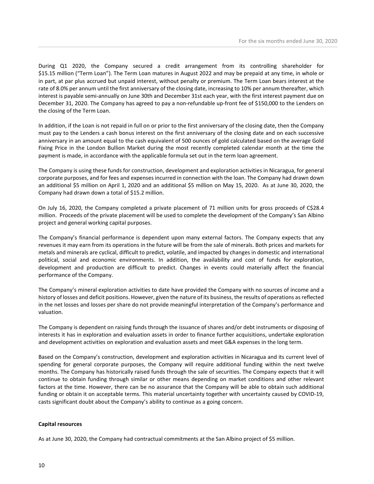During Q1 2020, the Company secured a credit arrangement from its controlling shareholder for \$15.15 million ("Term Loan"). The Term Loan matures in August 2022 and may be prepaid at any time, in whole or in part, at par plus accrued but unpaid interest, without penalty or premium. The Term Loan bears interest at the rate of 8.0% per annum until the first anniversary of the closing date, increasing to 10% per annum thereafter, which interest is payable semi-annually on June 30th and December 31st each year, with the first interest payment due on December 31, 2020. The Company has agreed to pay a non-refundable up-front fee of \$150,000 to the Lenders on the closing of the Term Loan.

In addition, if the Loan is not repaid in full on or prior to the first anniversary of the closing date, then the Company must pay to the Lenders a cash bonus interest on the first anniversary of the closing date and on each successive anniversary in an amount equal to the cash equivalent of 500 ounces of gold calculated based on the average Gold Fixing Price in the London Bullion Market during the most recently completed calendar month at the time the payment is made, in accordance with the applicable formula set out in the term loan agreement.

The Company is using these funds for construction, development and exploration activities in Nicaragua, for general corporate purposes, and for fees and expenses incurred in connection with the loan. The Company had drawn down an additional \$5 million on April 1, 2020 and an additional \$5 million on May 15, 2020. As at June 30, 2020, the Company had drawn down a total of \$15.2 million.

On July 16, 2020, the Company completed a private placement of 71 million units for gross proceeds of C\$28.4 million. Proceeds of the private placement will be used to complete the development of the Company's San Albino project and general working capital purposes.

The Company's financial performance is dependent upon many external factors. The Company expects that any revenues it may earn from its operations in the future will be from the sale of minerals. Both prices and markets for metals and minerals are cyclical, difficult to predict, volatile, and impacted by changes in domestic and international political, social and economic environments. In addition, the availability and cost of funds for exploration, development and production are difficult to predict. Changes in events could materially affect the financial performance of the Company.

The Company's mineral exploration activities to date have provided the Company with no sources of income and a history of losses and deficit positions. However, given the nature of its business, the results of operations as reflected in the net losses and losses per share do not provide meaningful interpretation of the Company's performance and valuation.

The Company is dependent on raising funds through the issuance of shares and/or debt instruments or disposing of interests it has in exploration and evaluation assets in order to finance further acquisitions, undertake exploration and development activities on exploration and evaluation assets and meet G&A expenses in the long term.

Based on the Company's construction, development and exploration activities in Nicaragua and its current level of spending for general corporate purposes, the Company will require additional funding within the next twelve months. The Company has historically raised funds through the sale of securities. The Company expects that it will continue to obtain funding through similar or other means depending on market conditions and other relevant factors at the time. However, there can be no assurance that the Company will be able to obtain such additional funding or obtain it on acceptable terms. This material uncertainty together with uncertainty caused by COVID-19, casts significant doubt about the Company's ability to continue as a going concern.

## Capital resources

As at June 30, 2020, the Company had contractual commitments at the San Albino project of \$5 million.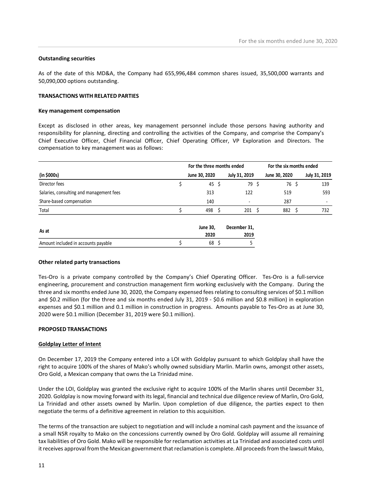#### Outstanding securities

#### TRANSACTIONS WITH RELATED PARTIES

#### Key management compensation

|                                                                                                                                                                                                                                                                                    |    |                            |                      | For the six months ended June 30, 2020                                                                  |               |
|------------------------------------------------------------------------------------------------------------------------------------------------------------------------------------------------------------------------------------------------------------------------------------|----|----------------------------|----------------------|---------------------------------------------------------------------------------------------------------|---------------|
| <b>Outstanding securities</b>                                                                                                                                                                                                                                                      |    |                            |                      |                                                                                                         |               |
| As of the date of this MD&A, the Company had 655,996,484 common shares issued, 35,500,000 warrants and<br>50,090,000 options outstanding.                                                                                                                                          |    |                            |                      |                                                                                                         |               |
| <b>TRANSACTIONS WITH RELATED PARTIES</b>                                                                                                                                                                                                                                           |    |                            |                      |                                                                                                         |               |
| Key management compensation                                                                                                                                                                                                                                                        |    |                            |                      |                                                                                                         |               |
|                                                                                                                                                                                                                                                                                    |    |                            |                      | Except as disclosed in other areas, key management personnel include those persons having authority and |               |
| responsibility for planning, directing and controlling the activities of the Company, and comprise the Company's<br>Chief Executive Officer, Chief Financial Officer, Chief Operating Officer, VP Exploration and Directors. The<br>compensation to key management was as follows: |    | For the three months ended |                      | For the six months ended                                                                                |               |
| (in \$000s)                                                                                                                                                                                                                                                                        |    | June 30, 2020              | July 31, 2019        | June 30, 2020                                                                                           | July 31, 2019 |
| Director fees                                                                                                                                                                                                                                                                      | Ś. | 45 \$                      | 79 \$                | 76 \$                                                                                                   | 139           |
| Salaries, consulting and management fees                                                                                                                                                                                                                                           |    | 313                        | 122                  | 519                                                                                                     | 593           |
| Share-based compensation                                                                                                                                                                                                                                                           |    | 140                        |                      | 287                                                                                                     | $\sim$        |
| Total                                                                                                                                                                                                                                                                              | Ś. | 498 \$                     | $201 \quad $5$       | 882 \$                                                                                                  | 732           |
| As at                                                                                                                                                                                                                                                                              |    | June 30,<br>2020           | December 31,<br>2019 |                                                                                                         |               |

#### Other related party transactions

Tes-Oro is a private company controlled by the Company's Chief Operating Officer. Tes-Oro is a full-service engineering, procurement and construction management firm working exclusively with the Company. During the three and six months ended June 30, 2020, the Company expensed fees relating to consulting services of \$0.1 million and \$0.2 million (for the three and six months ended July 31, 2019 - \$0.6 million and \$0.8 million) in exploration expenses and \$0.1 million and 0.1 million in construction in progress. Amounts payable to Tes-Oro as at June 30, 2020 were \$0.1 million (December 31, 2019 were \$0.1 million).

# PROPOSED TRANSACTIONS

#### Goldplay Letter of Intent

On December 17, 2019 the Company entered into a LOI with Goldplay pursuant to which Goldplay shall have the right to acquire 100% of the shares of Mako's wholly owned subsidiary Marlin. Marlin owns, amongst other assets, Oro Gold, a Mexican company that owns the La Trinidad mine.

Under the LOI, Goldplay was granted the exclusive right to acquire 100% of the Marlin shares until December 31, 2020. Goldplay is now moving forward with its legal, financial and technical due diligence review of Marlin, Oro Gold, La Trinidad and other assets owned by Marlin. Upon completion of due diligence, the parties expect to then negotiate the terms of a definitive agreement in relation to this acquisition.

The terms of the transaction are subject to negotiation and will include a nominal cash payment and the issuance of a small NSR royalty to Mako on the concessions currently owned by Oro Gold. Goldplay will assume all remaining tax liabilities of Oro Gold. Mako will be responsible for reclamation activities at La Trinidad and associated costs until it receives approval from the Mexican government that reclamation is complete. All proceeds from the lawsuit Mako,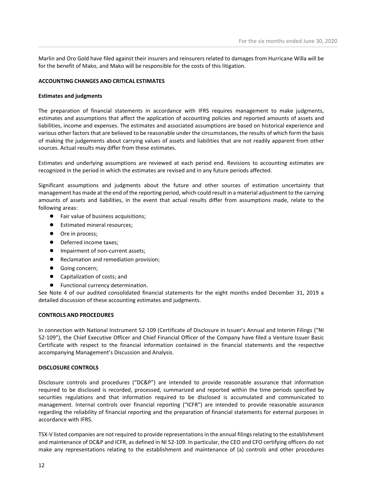Marlin and Oro Gold have filed against their insurers and reinsurers related to damages from Hurricane Willa will be for the benefit of Mako, and Mako will be responsible for the costs of this litigation.

## ACCOUNTING CHANGES AND CRITICAL ESTIMATES

## Estimates and judgments

The preparation of financial statements in accordance with IFRS requires management to make judgments, estimates and assumptions that affect the application of accounting policies and reported amounts of assets and liabilities, income and expenses. The estimates and associated assumptions are based on historical experience and various other factors that are believed to be reasonable under the circumstances, the results of which form the basis of making the judgements about carrying values of assets and liabilities that are not readily apparent from other sources. Actual results may differ from these estimates.

Estimates and underlying assumptions are reviewed at each period end. Revisions to accounting estimates are recognized in the period in which the estimates are revised and in any future periods affected.

Significant assumptions and judgments about the future and other sources of estimation uncertainty that management has made at the end of the reporting period, which could result in a material adjustment to the carrying amounts of assets and liabilities, in the event that actual results differ from assumptions made, relate to the following areas:

- Fair value of business acquisitions;
- Estimated mineral resources;
- Ore in process;
- Deferred income taxes;
- Impairment of non-current assets;
- Reclamation and remediation provision;
- Going concern;
- Capitalization of costs; and
- Functional currency determination.

See Note 4 of our audited consolidated financial statements for the eight months ended December 31, 2019 a detailed discussion of these accounting estimates and judgments.

## CONTROLS AND PROCEDURES

In connection with National Instrument 52-109 (Certificate of Disclosure in Issuer's Annual and Interim Filings ("NI 52-109"), the Chief Executive Officer and Chief Financial Officer of the Company have filed a Venture Issuer Basic Certificate with respect to the financial information contained in the financial statements and the respective accompanying Management's Discussion and Analysis.

## DISCLOSURE CONTROLS

Disclosure controls and procedures ("DC&P") are intended to provide reasonable assurance that information required to be disclosed is recorded, processed, summarized and reported within the time periods specified by securities regulations and that information required to be disclosed is accumulated and communicated to management. Internal controls over financial reporting ("ICFR") are intended to provide reasonable assurance regarding the reliability of financial reporting and the preparation of financial statements for external purposes in accordance with IFRS.

TSX-V listed companies are not required to provide representations in the annual filings relating to the establishment and maintenance of DC&P and ICFR, as defined in NI 52-109. In particular, the CEO and CFO certifying officers do not make any representations relating to the establishment and maintenance of (a) controls and other procedures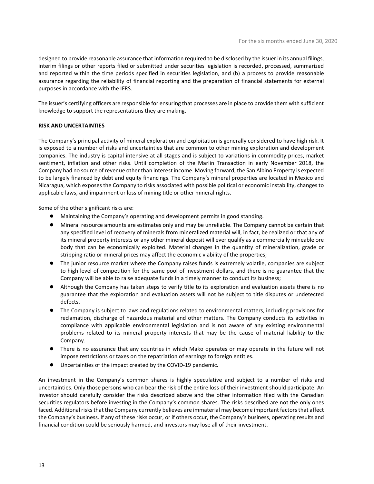designed to provide reasonable assurance that information required to be disclosed by the issuer in its annual filings, interim filings or other reports filed or submitted under securities legislation is recorded, processed, summarized and reported within the time periods specified in securities legislation, and (b) a process to provide reasonable assurance regarding the reliability of financial reporting and the preparation of financial statements for external purposes in accordance with the IFRS.

The issuer's certifying officers are responsible for ensuring that processes are in place to provide them with sufficient knowledge to support the representations they are making.

## RISK AND UNCERTAINTIES

The Company's principal activity of mineral exploration and exploitation is generally considered to have high risk. It is exposed to a number of risks and uncertainties that are common to other mining exploration and development companies. The industry is capital intensive at all stages and is subject to variations in commodity prices, market sentiment, inflation and other risks. Until completion of the Marlin Transaction in early November 2018, the Company had no source of revenue other than interest income. Moving forward, the San Albino Property is expected to be largely financed by debt and equity financings. The Company's mineral properties are located in Mexico and Nicaragua, which exposes the Company to risks associated with possible political or economic instability, changes to applicable laws, and impairment or loss of mining title or other mineral rights.

Some of the other significant risks are:

- Maintaining the Company's operating and development permits in good standing.
- Mineral resource amounts are estimates only and may be unreliable. The Company cannot be certain that any specified level of recovery of minerals from mineralized material will, in fact, be realized or that any of its mineral property interests or any other mineral deposit will ever qualify as a commercially mineable ore body that can be economically exploited. Material changes in the quantity of mineralization, grade or stripping ratio or mineral prices may affect the economic viability of the properties;
- The junior resource market where the Company raises funds is extremely volatile, companies are subject to high level of competition for the same pool of investment dollars, and there is no guarantee that the Company will be able to raise adequate funds in a timely manner to conduct its business;
- Although the Company has taken steps to verify title to its exploration and evaluation assets there is no guarantee that the exploration and evaluation assets will not be subject to title disputes or undetected defects.
- The Company is subject to laws and regulations related to environmental matters, including provisions for reclamation, discharge of hazardous material and other matters. The Company conducts its activities in compliance with applicable environmental legislation and is not aware of any existing environmental problems related to its mineral property interests that may be the cause of material liability to the Company.
- There is no assurance that any countries in which Mako operates or may operate in the future will not impose restrictions or taxes on the repatriation of earnings to foreign entities.
- Uncertainties of the impact created by the COVID-19 pandemic.

An investment in the Company's common shares is highly speculative and subject to a number of risks and uncertainties. Only those persons who can bear the risk of the entire loss of their investment should participate. An investor should carefully consider the risks described above and the other information filed with the Canadian securities regulators before investing in the Company's common shares. The risks described are not the only ones faced. Additional risks that the Company currently believes are immaterial may become important factors that affect the Company's business. If any of these risks occur, or if others occur, the Company's business, operating results and financial condition could be seriously harmed, and investors may lose all of their investment.